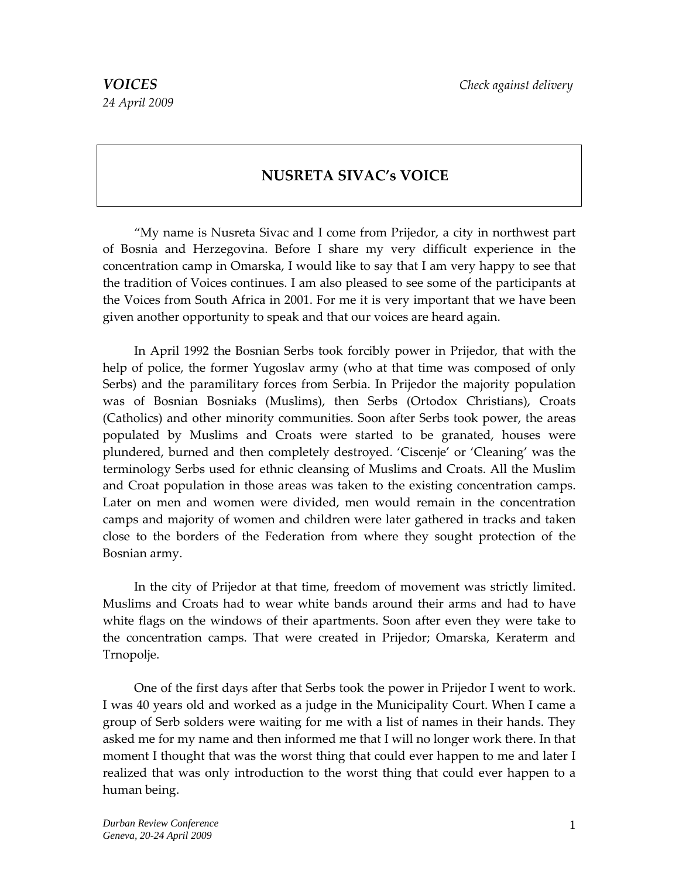## **NUSRETA SIVAC's VOICE**

"My name is Nusreta Sivac and I come from Prijedor, a city in northwest part of Bosnia and Herzegovina. Before I share my very difficult experience in the concentration camp in Omarska, I would like to say that I am very happy to see that the tradition of Voices continues. I am also pleased to see some of the participants at the Voices from South Africa in 2001. For me it is very important that we have been given another opportunity to speak and that our voices are heard again.

In April 1992 the Bosnian Serbs took forcibly power in Prijedor, that with the help of police, the former Yugoslav army (who at that time was composed of only Serbs) and the paramilitary forces from Serbia. In Prijedor the majority population was of Bosnian Bosniaks (Muslims), then Serbs (Ortodox Christians), Croats (Catholics) and other minority communities. Soon after Serbs took power, the areas populated by Muslims and Croats were started to be granated, houses were plundered, burned and then completely destroyed. 'Ciscenje' or 'Cleaning' was the terminology Serbs used for ethnic cleansing of Muslims and Croats. All the Muslim and Croat population in those areas was taken to the existing concentration camps. Later on men and women were divided, men would remain in the concentration camps and majority of women and children were later gathered in tracks and taken close to the borders of the Federation from where they sought protection of the Bosnian army.

In the city of Prijedor at that time, freedom of movement was strictly limited. Muslims and Croats had to wear white bands around their arms and had to have white flags on the windows of their apartments. Soon after even they were take to the concentration camps. That were created in Prijedor; Omarska, Keraterm and Trnopolje.

One of the first days after that Serbs took the power in Prijedor I went to work. I was 40 years old and worked as a judge in the Municipality Court. When I came a group of Serb solders were waiting for me with a list of names in their hands. They asked me for my name and then informed me that I will no longer work there. In that moment I thought that was the worst thing that could ever happen to me and later I realized that was only introduction to the worst thing that could ever happen to a human being.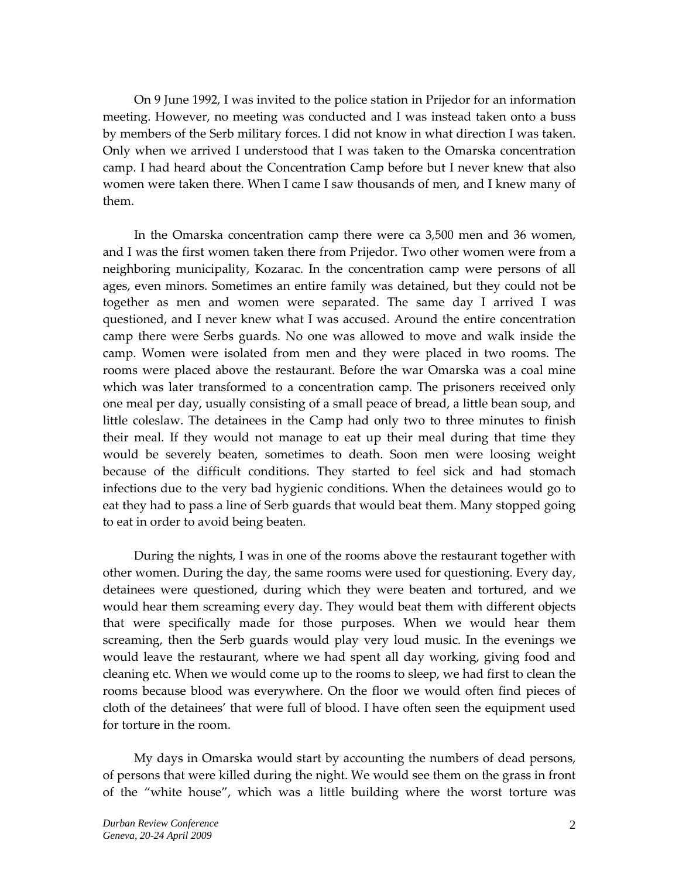On 9 June 1992, I was invited to the police station in Prijedor for an information meeting. However, no meeting was conducted and I was instead taken onto a buss by members of the Serb military forces. I did not know in what direction I was taken. Only when we arrived I understood that I was taken to the Omarska concentration camp. I had heard about the Concentration Camp before but I never knew that also women were taken there. When I came I saw thousands of men, and I knew many of them.

In the Omarska concentration camp there were ca 3,500 men and 36 women, and I was the first women taken there from Prijedor. Two other women were from a neighboring municipality, Kozarac. In the concentration camp were persons of all ages, even minors. Sometimes an entire family was detained, but they could not be together as men and women were separated. The same day I arrived I was questioned, and I never knew what I was accused. Around the entire concentration camp there were Serbs guards. No one was allowed to move and walk inside the camp. Women were isolated from men and they were placed in two rooms. The rooms were placed above the restaurant. Before the war Omarska was a coal mine which was later transformed to a concentration camp. The prisoners received only one meal per day, usually consisting of a small peace of bread, a little bean soup, and little coleslaw. The detainees in the Camp had only two to three minutes to finish their meal. If they would not manage to eat up their meal during that time they would be severely beaten, sometimes to death. Soon men were loosing weight because of the difficult conditions. They started to feel sick and had stomach infections due to the very bad hygienic conditions. When the detainees would go to eat they had to pass a line of Serb guards that would beat them. Many stopped going to eat in order to avoid being beaten.

During the nights, I was in one of the rooms above the restaurant together with other women. During the day, the same rooms were used for questioning. Every day, detainees were questioned, during which they were beaten and tortured, and we would hear them screaming every day. They would beat them with different objects that were specifically made for those purposes. When we would hear them screaming, then the Serb guards would play very loud music. In the evenings we would leave the restaurant, where we had spent all day working, giving food and cleaning etc. When we would come up to the rooms to sleep, we had first to clean the rooms because blood was everywhere. On the floor we would often find pieces of cloth of the detainees' that were full of blood. I have often seen the equipment used for torture in the room.

My days in Omarska would start by accounting the numbers of dead persons, of persons that were killed during the night. We would see them on the grass in front of the "white house", which was a little building where the worst torture was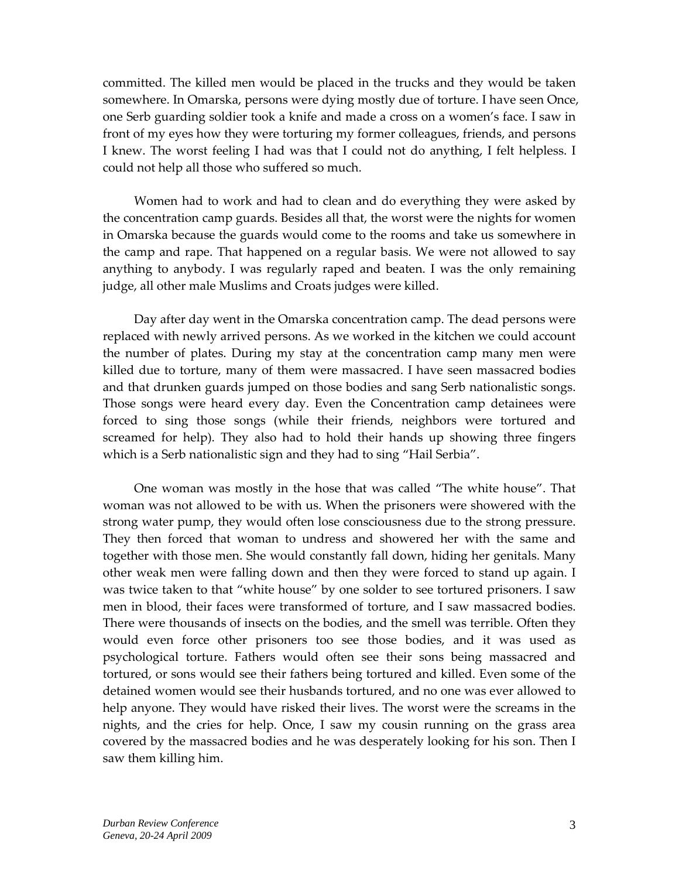committed. The killed men would be placed in the trucks and they would be taken somewhere. In Omarska, persons were dying mostly due of torture. I have seen Once, one Serb guarding soldier took a knife and made a cross on a women's face. I saw in front of my eyes how they were torturing my former colleagues, friends, and persons I knew. The worst feeling I had was that I could not do anything, I felt helpless. I could not help all those who suffered so much.

Women had to work and had to clean and do everything they were asked by the concentration camp guards. Besides all that, the worst were the nights for women in Omarska because the guards would come to the rooms and take us somewhere in the camp and rape. That happened on a regular basis. We were not allowed to say anything to anybody. I was regularly raped and beaten. I was the only remaining judge, all other male Muslims and Croats judges were killed.

Day after day went in the Omarska concentration camp. The dead persons were replaced with newly arrived persons. As we worked in the kitchen we could account the number of plates. During my stay at the concentration camp many men were killed due to torture, many of them were massacred. I have seen massacred bodies and that drunken guards jumped on those bodies and sang Serb nationalistic songs. Those songs were heard every day. Even the Concentration camp detainees were forced to sing those songs (while their friends, neighbors were tortured and screamed for help). They also had to hold their hands up showing three fingers which is a Serb nationalistic sign and they had to sing "Hail Serbia".

One woman was mostly in the hose that was called "The white house". That woman was not allowed to be with us. When the prisoners were showered with the strong water pump, they would often lose consciousness due to the strong pressure. They then forced that woman to undress and showered her with the same and together with those men. She would constantly fall down, hiding her genitals. Many other weak men were falling down and then they were forced to stand up again. I was twice taken to that "white house" by one solder to see tortured prisoners. I saw men in blood, their faces were transformed of torture, and I saw massacred bodies. There were thousands of insects on the bodies, and the smell was terrible. Often they would even force other prisoners too see those bodies, and it was used as psychological torture. Fathers would often see their sons being massacred and tortured, or sons would see their fathers being tortured and killed. Even some of the detained women would see their husbands tortured, and no one was ever allowed to help anyone. They would have risked their lives. The worst were the screams in the nights, and the cries for help. Once, I saw my cousin running on the grass area covered by the massacred bodies and he was desperately looking for his son. Then I saw them killing him.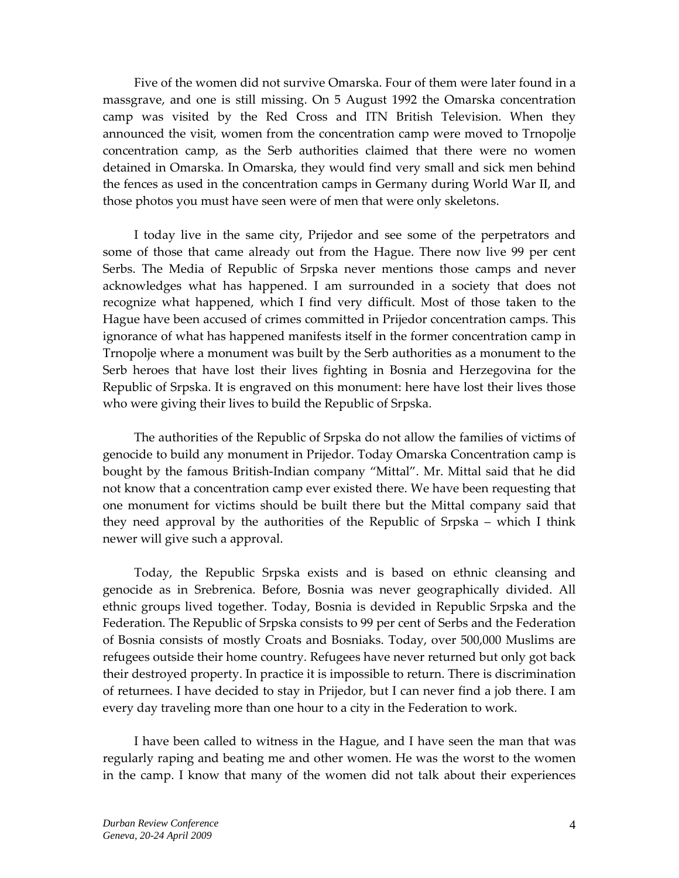Five of the women did not survive Omarska. Four of them were later found in a massgrave, and one is still missing. On 5 August 1992 the Omarska concentration camp was visited by the Red Cross and ITN British Television. When they announced the visit, women from the concentration camp were moved to Trnopolje concentration camp, as the Serb authorities claimed that there were no women detained in Omarska. In Omarska, they would find very small and sick men behind the fences as used in the concentration camps in Germany during World War II, and those photos you must have seen were of men that were only skeletons.

I today live in the same city, Prijedor and see some of the perpetrators and some of those that came already out from the Hague. There now live 99 per cent Serbs. The Media of Republic of Srpska never mentions those camps and never acknowledges what has happened. I am surrounded in a society that does not recognize what happened, which I find very difficult. Most of those taken to the Hague have been accused of crimes committed in Prijedor concentration camps. This ignorance of what has happened manifests itself in the former concentration camp in Trnopolje where a monument was built by the Serb authorities as a monument to the Serb heroes that have lost their lives fighting in Bosnia and Herzegovina for the Republic of Srpska. It is engraved on this monument: here have lost their lives those who were giving their lives to build the Republic of Srpska.

The authorities of the Republic of Srpska do not allow the families of victims of genocide to build any monument in Prijedor. Today Omarska Concentration camp is bought by the famous British‐Indian company "Mittal". Mr. Mittal said that he did not know that a concentration camp ever existed there. We have been requesting that one monument for victims should be built there but the Mittal company said that they need approval by the authorities of the Republic of Srpska – which I think newer will give such a approval.

Today, the Republic Srpska exists and is based on ethnic cleansing and genocide as in Srebrenica. Before, Bosnia was never geographically divided. All ethnic groups lived together. Today, Bosnia is devided in Republic Srpska and the Federation. The Republic of Srpska consists to 99 per cent of Serbs and the Federation of Bosnia consists of mostly Croats and Bosniaks. Today, over 500,000 Muslims are refugees outside their home country. Refugees have never returned but only got back their destroyed property. In practice it is impossible to return. There is discrimination of returnees. I have decided to stay in Prijedor, but I can never find a job there. I am every day traveling more than one hour to a city in the Federation to work.

I have been called to witness in the Hague, and I have seen the man that was regularly raping and beating me and other women. He was the worst to the women in the camp. I know that many of the women did not talk about their experiences